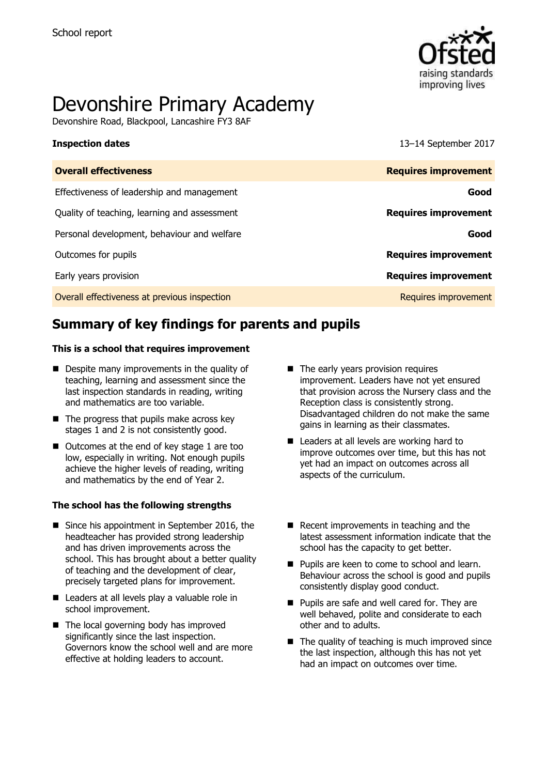

# Devonshire Primary Academy

Devonshire Road, Blackpool, Lancashire FY3 8AF

**Inspection dates** 13–14 September 2017

# **Summary of key findings for parents and pupils**

#### **This is a school that requires improvement**

- Despite many improvements in the quality of teaching, learning and assessment since the last inspection standards in reading, writing and mathematics are too variable.
- $\blacksquare$  The progress that pupils make across key stages 1 and 2 is not consistently good.
- Outcomes at the end of key stage 1 are too low, especially in writing. Not enough pupils achieve the higher levels of reading, writing and mathematics by the end of Year 2.

#### **The school has the following strengths**

- Since his appointment in September 2016, the headteacher has provided strong leadership and has driven improvements across the school. This has brought about a better quality of teaching and the development of clear, precisely targeted plans for improvement.
- Leaders at all levels play a valuable role in school improvement.
- The local governing body has improved significantly since the last inspection. Governors know the school well and are more effective at holding leaders to account.
- The early years provision requires improvement. Leaders have not yet ensured that provision across the Nursery class and the Reception class is consistently strong. Disadvantaged children do not make the same gains in learning as their classmates.
- Leaders at all levels are working hard to improve outcomes over time, but this has not yet had an impact on outcomes across all aspects of the curriculum.
- Recent improvements in teaching and the latest assessment information indicate that the school has the capacity to get better.
- **Pupils are keen to come to school and learn.** Behaviour across the school is good and pupils consistently display good conduct.
- **Pupils are safe and well cared for. They are** well behaved, polite and considerate to each other and to adults.
- $\blacksquare$  The quality of teaching is much improved since the last inspection, although this has not yet had an impact on outcomes over time.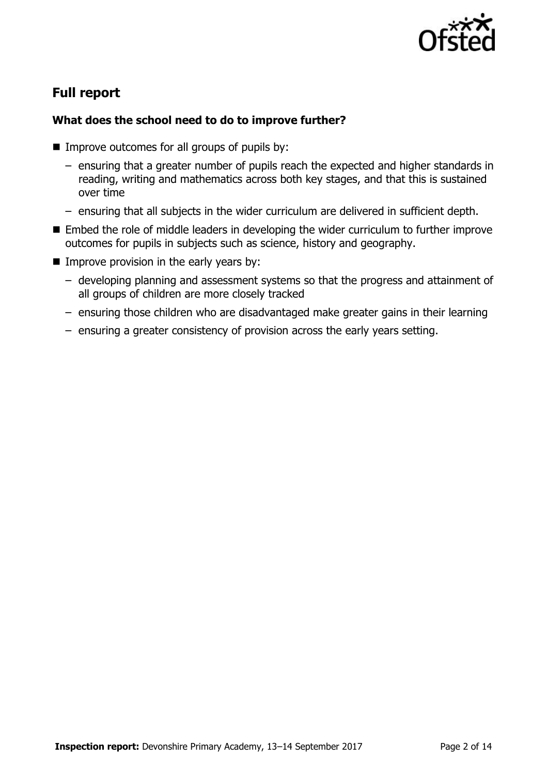

# **Full report**

### **What does the school need to do to improve further?**

- $\blacksquare$  Improve outcomes for all groups of pupils by:
	- ensuring that a greater number of pupils reach the expected and higher standards in reading, writing and mathematics across both key stages, and that this is sustained over time
	- ensuring that all subjects in the wider curriculum are delivered in sufficient depth.
- Embed the role of middle leaders in developing the wider curriculum to further improve outcomes for pupils in subjects such as science, history and geography.
- $\blacksquare$  Improve provision in the early years by:
	- developing planning and assessment systems so that the progress and attainment of all groups of children are more closely tracked
	- ensuring those children who are disadvantaged make greater gains in their learning
	- ensuring a greater consistency of provision across the early years setting.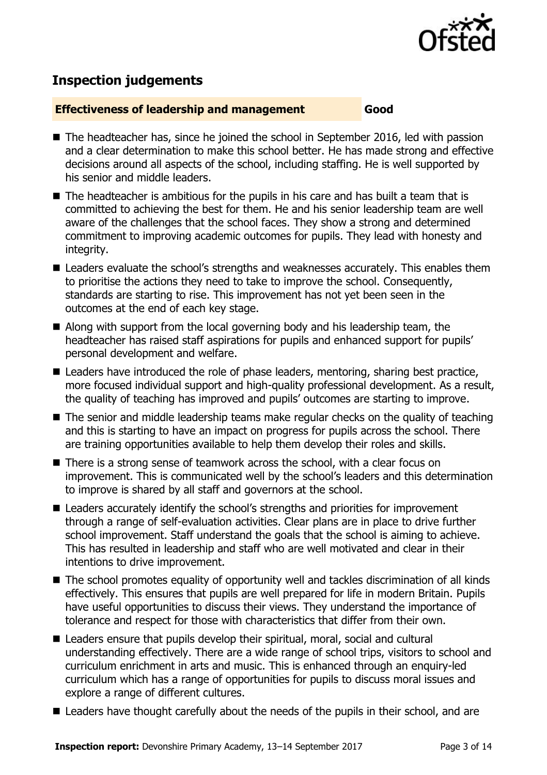

# **Inspection judgements**

#### **Effectiveness of leadership and management Good**

- The headteacher has, since he joined the school in September 2016, led with passion and a clear determination to make this school better. He has made strong and effective decisions around all aspects of the school, including staffing. He is well supported by his senior and middle leaders.
- The headteacher is ambitious for the pupils in his care and has built a team that is committed to achieving the best for them. He and his senior leadership team are well aware of the challenges that the school faces. They show a strong and determined commitment to improving academic outcomes for pupils. They lead with honesty and integrity.
- Leaders evaluate the school's strengths and weaknesses accurately. This enables them to prioritise the actions they need to take to improve the school. Consequently, standards are starting to rise. This improvement has not yet been seen in the outcomes at the end of each key stage.
- Along with support from the local governing body and his leadership team, the headteacher has raised staff aspirations for pupils and enhanced support for pupils' personal development and welfare.
- Leaders have introduced the role of phase leaders, mentoring, sharing best practice, more focused individual support and high-quality professional development. As a result, the quality of teaching has improved and pupils' outcomes are starting to improve.
- The senior and middle leadership teams make regular checks on the quality of teaching and this is starting to have an impact on progress for pupils across the school. There are training opportunities available to help them develop their roles and skills.
- There is a strong sense of teamwork across the school, with a clear focus on improvement. This is communicated well by the school's leaders and this determination to improve is shared by all staff and governors at the school.
- Leaders accurately identify the school's strengths and priorities for improvement through a range of self-evaluation activities. Clear plans are in place to drive further school improvement. Staff understand the goals that the school is aiming to achieve. This has resulted in leadership and staff who are well motivated and clear in their intentions to drive improvement.
- The school promotes equality of opportunity well and tackles discrimination of all kinds effectively. This ensures that pupils are well prepared for life in modern Britain. Pupils have useful opportunities to discuss their views. They understand the importance of tolerance and respect for those with characteristics that differ from their own.
- Leaders ensure that pupils develop their spiritual, moral, social and cultural understanding effectively. There are a wide range of school trips, visitors to school and curriculum enrichment in arts and music. This is enhanced through an enquiry-led curriculum which has a range of opportunities for pupils to discuss moral issues and explore a range of different cultures.
- Leaders have thought carefully about the needs of the pupils in their school, and are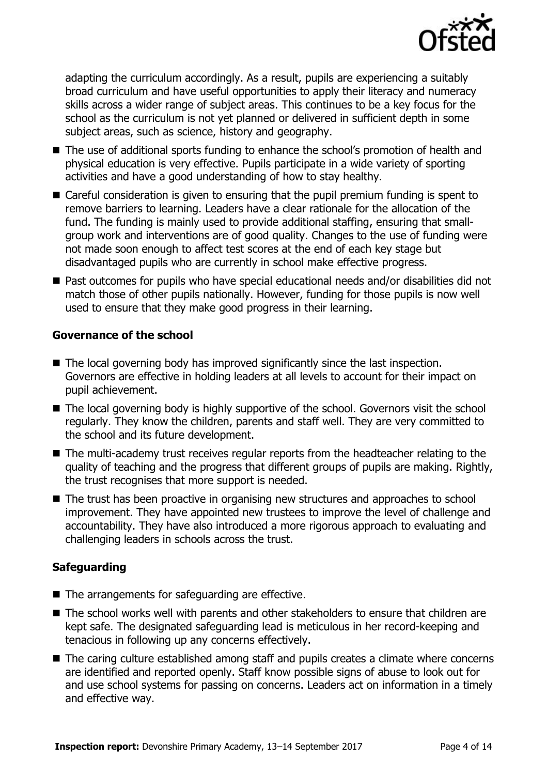

adapting the curriculum accordingly. As a result, pupils are experiencing a suitably broad curriculum and have useful opportunities to apply their literacy and numeracy skills across a wider range of subject areas. This continues to be a key focus for the school as the curriculum is not yet planned or delivered in sufficient depth in some subject areas, such as science, history and geography.

- The use of additional sports funding to enhance the school's promotion of health and physical education is very effective. Pupils participate in a wide variety of sporting activities and have a good understanding of how to stay healthy.
- Careful consideration is given to ensuring that the pupil premium funding is spent to remove barriers to learning. Leaders have a clear rationale for the allocation of the fund. The funding is mainly used to provide additional staffing, ensuring that smallgroup work and interventions are of good quality. Changes to the use of funding were not made soon enough to affect test scores at the end of each key stage but disadvantaged pupils who are currently in school make effective progress.
- Past outcomes for pupils who have special educational needs and/or disabilities did not match those of other pupils nationally. However, funding for those pupils is now well used to ensure that they make good progress in their learning.

### **Governance of the school**

- $\blacksquare$  The local governing body has improved significantly since the last inspection. Governors are effective in holding leaders at all levels to account for their impact on pupil achievement.
- The local governing body is highly supportive of the school. Governors visit the school regularly. They know the children, parents and staff well. They are very committed to the school and its future development.
- The multi-academy trust receives regular reports from the headteacher relating to the quality of teaching and the progress that different groups of pupils are making. Rightly, the trust recognises that more support is needed.
- The trust has been proactive in organising new structures and approaches to school improvement. They have appointed new trustees to improve the level of challenge and accountability. They have also introduced a more rigorous approach to evaluating and challenging leaders in schools across the trust.

### **Safeguarding**

- The arrangements for safeguarding are effective.
- The school works well with parents and other stakeholders to ensure that children are kept safe. The designated safeguarding lead is meticulous in her record-keeping and tenacious in following up any concerns effectively.
- The caring culture established among staff and pupils creates a climate where concerns are identified and reported openly. Staff know possible signs of abuse to look out for and use school systems for passing on concerns. Leaders act on information in a timely and effective way.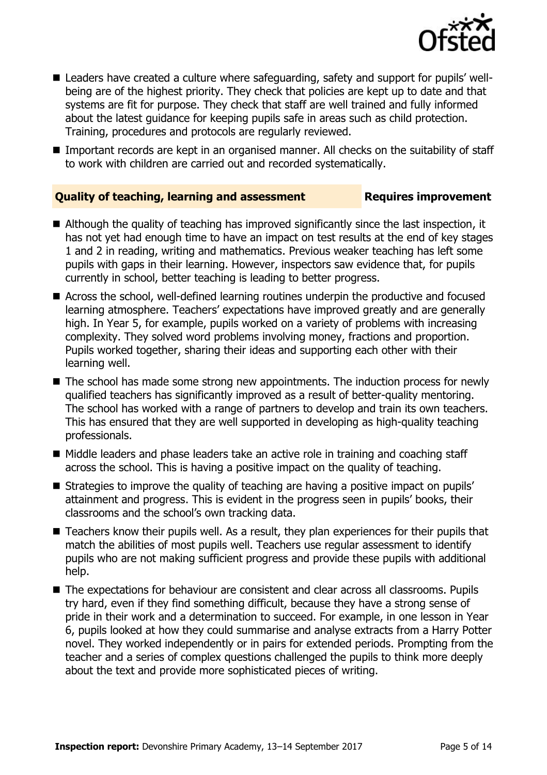

- Leaders have created a culture where safeguarding, safety and support for pupils' wellbeing are of the highest priority. They check that policies are kept up to date and that systems are fit for purpose. They check that staff are well trained and fully informed about the latest guidance for keeping pupils safe in areas such as child protection. Training, procedures and protocols are regularly reviewed.
- Important records are kept in an organised manner. All checks on the suitability of staff to work with children are carried out and recorded systematically.

### **Quality of teaching, learning and assessment Fig. 2.1 Requires improvement**

- Although the quality of teaching has improved significantly since the last inspection, it has not yet had enough time to have an impact on test results at the end of key stages 1 and 2 in reading, writing and mathematics. Previous weaker teaching has left some pupils with gaps in their learning. However, inspectors saw evidence that, for pupils currently in school, better teaching is leading to better progress.
- Across the school, well-defined learning routines underpin the productive and focused learning atmosphere. Teachers' expectations have improved greatly and are generally high. In Year 5, for example, pupils worked on a variety of problems with increasing complexity. They solved word problems involving money, fractions and proportion. Pupils worked together, sharing their ideas and supporting each other with their learning well.
- The school has made some strong new appointments. The induction process for newly qualified teachers has significantly improved as a result of better-quality mentoring. The school has worked with a range of partners to develop and train its own teachers. This has ensured that they are well supported in developing as high-quality teaching professionals.
- Middle leaders and phase leaders take an active role in training and coaching staff across the school. This is having a positive impact on the quality of teaching.
- **Strategies to improve the quality of teaching are having a positive impact on pupils'** attainment and progress. This is evident in the progress seen in pupils' books, their classrooms and the school's own tracking data.
- Teachers know their pupils well. As a result, they plan experiences for their pupils that match the abilities of most pupils well. Teachers use regular assessment to identify pupils who are not making sufficient progress and provide these pupils with additional help.
- The expectations for behaviour are consistent and clear across all classrooms. Pupils try hard, even if they find something difficult, because they have a strong sense of pride in their work and a determination to succeed. For example, in one lesson in Year 6, pupils looked at how they could summarise and analyse extracts from a Harry Potter novel. They worked independently or in pairs for extended periods. Prompting from the teacher and a series of complex questions challenged the pupils to think more deeply about the text and provide more sophisticated pieces of writing.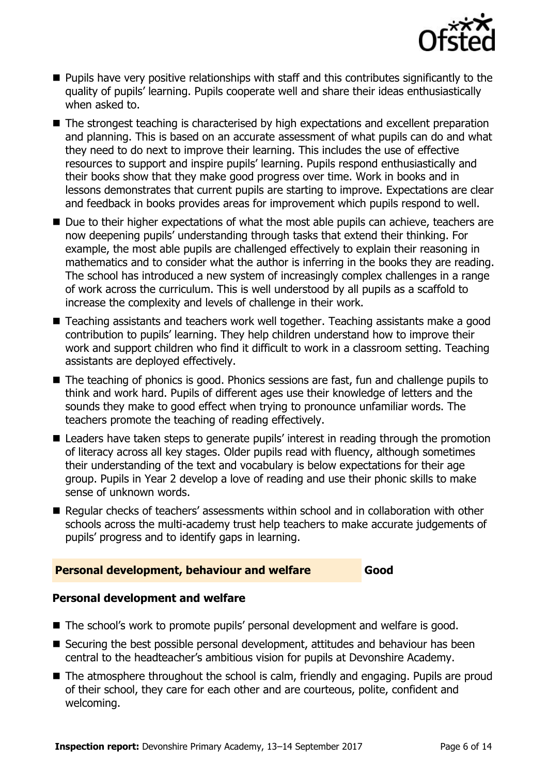

- $\blacksquare$  Pupils have very positive relationships with staff and this contributes significantly to the quality of pupils' learning. Pupils cooperate well and share their ideas enthusiastically when asked to.
- The strongest teaching is characterised by high expectations and excellent preparation and planning. This is based on an accurate assessment of what pupils can do and what they need to do next to improve their learning. This includes the use of effective resources to support and inspire pupils' learning. Pupils respond enthusiastically and their books show that they make good progress over time. Work in books and in lessons demonstrates that current pupils are starting to improve. Expectations are clear and feedback in books provides areas for improvement which pupils respond to well.
- Due to their higher expectations of what the most able pupils can achieve, teachers are now deepening pupils' understanding through tasks that extend their thinking. For example, the most able pupils are challenged effectively to explain their reasoning in mathematics and to consider what the author is inferring in the books they are reading. The school has introduced a new system of increasingly complex challenges in a range of work across the curriculum. This is well understood by all pupils as a scaffold to increase the complexity and levels of challenge in their work.
- Teaching assistants and teachers work well together. Teaching assistants make a good contribution to pupils' learning. They help children understand how to improve their work and support children who find it difficult to work in a classroom setting. Teaching assistants are deployed effectively.
- The teaching of phonics is good. Phonics sessions are fast, fun and challenge pupils to think and work hard. Pupils of different ages use their knowledge of letters and the sounds they make to good effect when trying to pronounce unfamiliar words. The teachers promote the teaching of reading effectively.
- Leaders have taken steps to generate pupils' interest in reading through the promotion of literacy across all key stages. Older pupils read with fluency, although sometimes their understanding of the text and vocabulary is below expectations for their age group. Pupils in Year 2 develop a love of reading and use their phonic skills to make sense of unknown words.
- Regular checks of teachers' assessments within school and in collaboration with other schools across the multi-academy trust help teachers to make accurate judgements of pupils' progress and to identify gaps in learning.

#### **Personal development, behaviour and welfare Good**

### **Personal development and welfare**

- The school's work to promote pupils' personal development and welfare is good.
- Securing the best possible personal development, attitudes and behaviour has been central to the headteacher's ambitious vision for pupils at Devonshire Academy.
- The atmosphere throughout the school is calm, friendly and engaging. Pupils are proud of their school, they care for each other and are courteous, polite, confident and welcoming.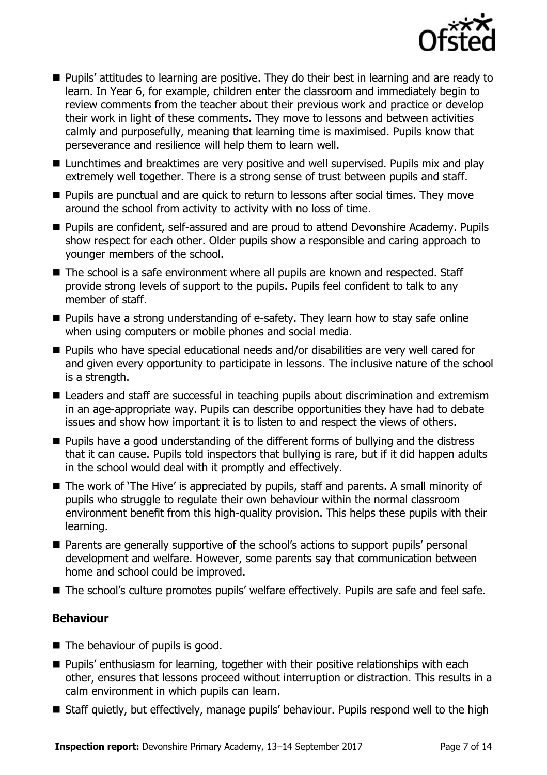

- **Pupils' attitudes to learning are positive. They do their best in learning and are ready to** learn. In Year 6, for example, children enter the classroom and immediately begin to review comments from the teacher about their previous work and practice or develop their work in light of these comments. They move to lessons and between activities calmly and purposefully, meaning that learning time is maximised. Pupils know that perseverance and resilience will help them to learn well.
- Lunchtimes and breaktimes are very positive and well supervised. Pupils mix and play extremely well together. There is a strong sense of trust between pupils and staff.
- **Pupils are punctual and are quick to return to lessons after social times. They move** around the school from activity to activity with no loss of time.
- Pupils are confident, self-assured and are proud to attend Devonshire Academy. Pupils show respect for each other. Older pupils show a responsible and caring approach to younger members of the school.
- The school is a safe environment where all pupils are known and respected. Staff provide strong levels of support to the pupils. Pupils feel confident to talk to any member of staff.
- **Pupils have a strong understanding of e-safety. They learn how to stay safe online** when using computers or mobile phones and social media.
- Pupils who have special educational needs and/or disabilities are very well cared for and given every opportunity to participate in lessons. The inclusive nature of the school is a strength.
- Leaders and staff are successful in teaching pupils about discrimination and extremism in an age-appropriate way. Pupils can describe opportunities they have had to debate issues and show how important it is to listen to and respect the views of others.
- Pupils have a good understanding of the different forms of bullying and the distress that it can cause. Pupils told inspectors that bullying is rare, but if it did happen adults in the school would deal with it promptly and effectively.
- The work of 'The Hive' is appreciated by pupils, staff and parents. A small minority of pupils who struggle to regulate their own behaviour within the normal classroom environment benefit from this high-quality provision. This helps these pupils with their learning.
- Parents are generally supportive of the school's actions to support pupils' personal development and welfare. However, some parents say that communication between home and school could be improved.
- The school's culture promotes pupils' welfare effectively. Pupils are safe and feel safe.

### **Behaviour**

- The behaviour of pupils is good.
- **Pupils'** enthusiasm for learning, together with their positive relationships with each other, ensures that lessons proceed without interruption or distraction. This results in a calm environment in which pupils can learn.
- Staff quietly, but effectively, manage pupils' behaviour. Pupils respond well to the high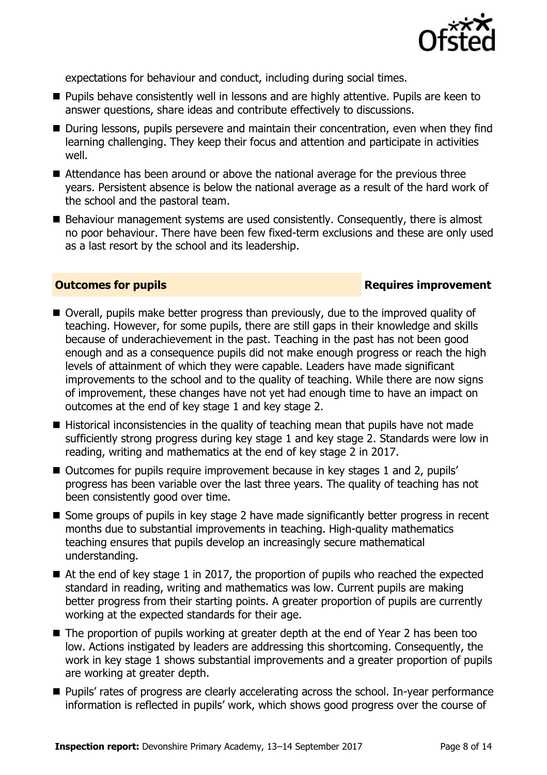

expectations for behaviour and conduct, including during social times.

- **Pupils behave consistently well in lessons and are highly attentive. Pupils are keen to** answer questions, share ideas and contribute effectively to discussions.
- During lessons, pupils persevere and maintain their concentration, even when they find learning challenging. They keep their focus and attention and participate in activities well.
- Attendance has been around or above the national average for the previous three years. Persistent absence is below the national average as a result of the hard work of the school and the pastoral team.
- Behaviour management systems are used consistently. Consequently, there is almost no poor behaviour. There have been few fixed-term exclusions and these are only used as a last resort by the school and its leadership.

### **Outcomes for pupils Requires improvement**

- Overall, pupils make better progress than previously, due to the improved quality of teaching. However, for some pupils, there are still gaps in their knowledge and skills because of underachievement in the past. Teaching in the past has not been good enough and as a consequence pupils did not make enough progress or reach the high levels of attainment of which they were capable. Leaders have made significant improvements to the school and to the quality of teaching. While there are now signs of improvement, these changes have not yet had enough time to have an impact on outcomes at the end of key stage 1 and key stage 2.
- Historical inconsistencies in the quality of teaching mean that pupils have not made sufficiently strong progress during key stage 1 and key stage 2. Standards were low in reading, writing and mathematics at the end of key stage 2 in 2017.
- Outcomes for pupils require improvement because in key stages 1 and 2, pupils' progress has been variable over the last three years. The quality of teaching has not been consistently good over time.
- Some groups of pupils in key stage 2 have made significantly better progress in recent months due to substantial improvements in teaching. High-quality mathematics teaching ensures that pupils develop an increasingly secure mathematical understanding.
- $\blacksquare$  At the end of key stage 1 in 2017, the proportion of pupils who reached the expected standard in reading, writing and mathematics was low. Current pupils are making better progress from their starting points. A greater proportion of pupils are currently working at the expected standards for their age.
- The proportion of pupils working at greater depth at the end of Year 2 has been too low. Actions instigated by leaders are addressing this shortcoming. Consequently, the work in key stage 1 shows substantial improvements and a greater proportion of pupils are working at greater depth.
- **Pupils'** rates of progress are clearly accelerating across the school. In-year performance information is reflected in pupils' work, which shows good progress over the course of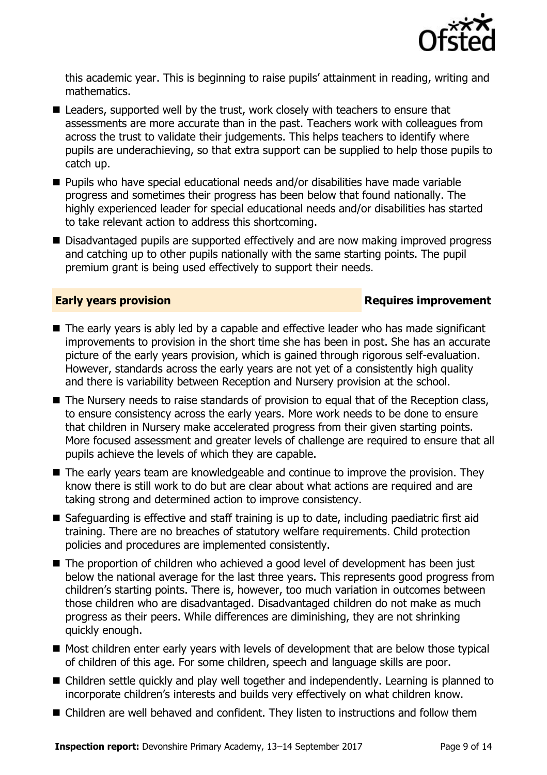

this academic year. This is beginning to raise pupils' attainment in reading, writing and mathematics.

- Leaders, supported well by the trust, work closely with teachers to ensure that assessments are more accurate than in the past. Teachers work with colleagues from across the trust to validate their judgements. This helps teachers to identify where pupils are underachieving, so that extra support can be supplied to help those pupils to catch up.
- Pupils who have special educational needs and/or disabilities have made variable progress and sometimes their progress has been below that found nationally. The highly experienced leader for special educational needs and/or disabilities has started to take relevant action to address this shortcoming.
- Disadvantaged pupils are supported effectively and are now making improved progress and catching up to other pupils nationally with the same starting points. The pupil premium grant is being used effectively to support their needs.

#### **Early years provision Requires improvement**

- The early years is ably led by a capable and effective leader who has made significant improvements to provision in the short time she has been in post. She has an accurate picture of the early years provision, which is gained through rigorous self-evaluation. However, standards across the early years are not yet of a consistently high quality and there is variability between Reception and Nursery provision at the school.
- The Nursery needs to raise standards of provision to equal that of the Reception class, to ensure consistency across the early years. More work needs to be done to ensure that children in Nursery make accelerated progress from their given starting points. More focused assessment and greater levels of challenge are required to ensure that all pupils achieve the levels of which they are capable.
- The early vears team are knowledgeable and continue to improve the provision. They know there is still work to do but are clear about what actions are required and are taking strong and determined action to improve consistency.
- Safeguarding is effective and staff training is up to date, including paediatric first aid training. There are no breaches of statutory welfare requirements. Child protection policies and procedures are implemented consistently.
- The proportion of children who achieved a good level of development has been just below the national average for the last three years. This represents good progress from children's starting points. There is, however, too much variation in outcomes between those children who are disadvantaged. Disadvantaged children do not make as much progress as their peers. While differences are diminishing, they are not shrinking quickly enough.
- $\blacksquare$  Most children enter early years with levels of development that are below those typical of children of this age. For some children, speech and language skills are poor.
- Children settle quickly and play well together and independently. Learning is planned to incorporate children's interests and builds very effectively on what children know.
- Children are well behaved and confident. They listen to instructions and follow them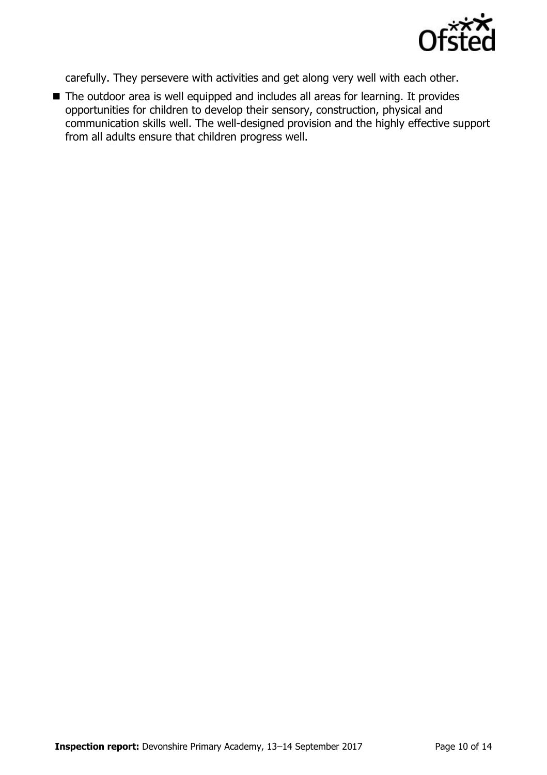

carefully. They persevere with activities and get along very well with each other.

■ The outdoor area is well equipped and includes all areas for learning. It provides opportunities for children to develop their sensory, construction, physical and communication skills well. The well-designed provision and the highly effective support from all adults ensure that children progress well.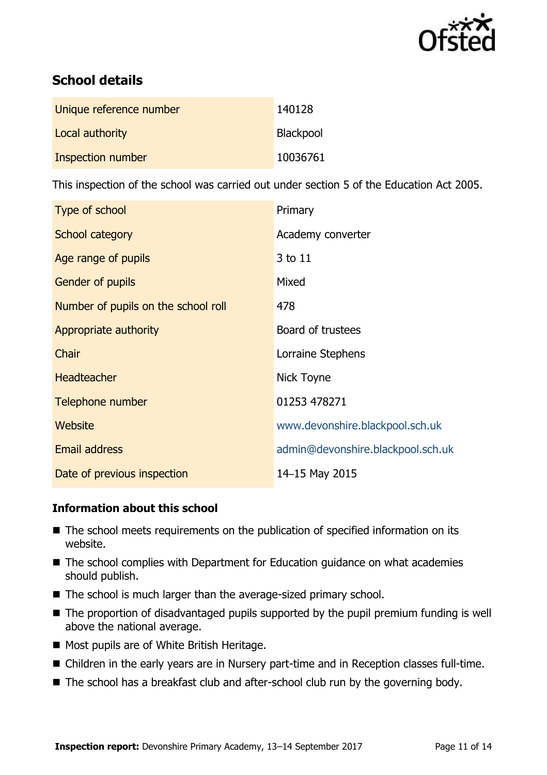

# **School details**

| Unique reference number | 140128    |
|-------------------------|-----------|
| Local authority         | Blackpool |
| Inspection number       | 10036761  |

This inspection of the school was carried out under section 5 of the Education Act 2005.

| Type of school                      | Primary                           |
|-------------------------------------|-----------------------------------|
| School category                     | Academy converter                 |
| Age range of pupils                 | 3 to 11                           |
| <b>Gender of pupils</b>             | Mixed                             |
| Number of pupils on the school roll | 478                               |
| Appropriate authority               | Board of trustees                 |
| Chair                               | Lorraine Stephens                 |
| <b>Headteacher</b>                  | Nick Toyne                        |
| Telephone number                    | 01253 478271                      |
| Website                             | www.devonshire.blackpool.sch.uk   |
| <b>Email address</b>                | admin@devonshire.blackpool.sch.uk |
| Date of previous inspection         | 14-15 May 2015                    |

### **Information about this school**

- The school meets requirements on the publication of specified information on its website.
- The school complies with Department for Education guidance on what academies should publish.
- The school is much larger than the average-sized primary school.
- The proportion of disadvantaged pupils supported by the pupil premium funding is well above the national average.
- Most pupils are of White British Heritage.
- Children in the early years are in Nursery part-time and in Reception classes full-time.
- The school has a breakfast club and after-school club run by the governing body.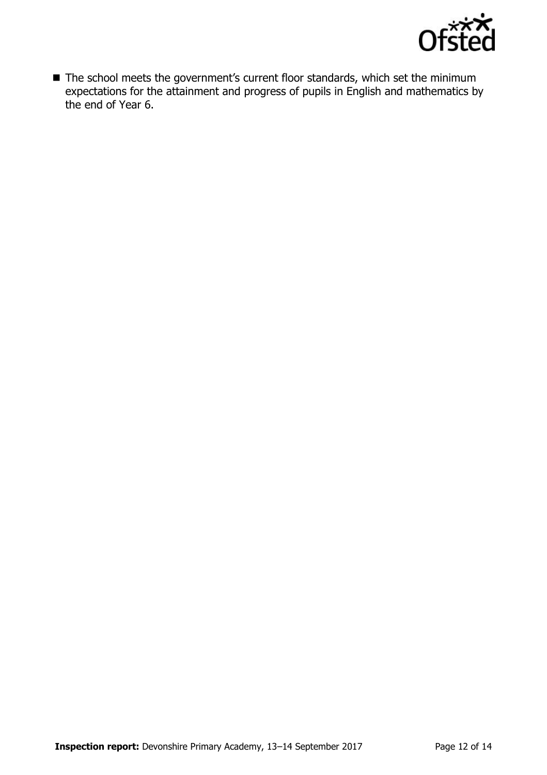

■ The school meets the government's current floor standards, which set the minimum expectations for the attainment and progress of pupils in English and mathematics by the end of Year 6.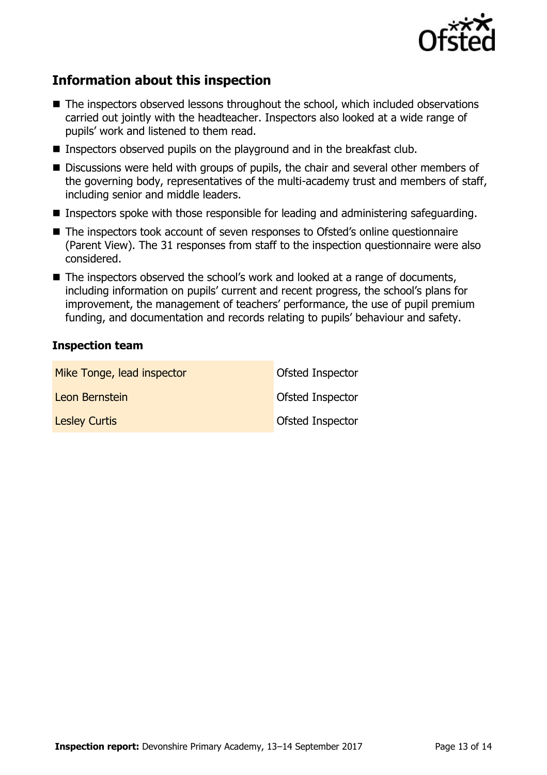

# **Information about this inspection**

- The inspectors observed lessons throughout the school, which included observations carried out jointly with the headteacher. Inspectors also looked at a wide range of pupils' work and listened to them read.
- **Inspectors observed pupils on the playground and in the breakfast club.**
- Discussions were held with groups of pupils, the chair and several other members of the governing body, representatives of the multi-academy trust and members of staff, including senior and middle leaders.
- **Inspectors spoke with those responsible for leading and administering safeguarding.**
- The inspectors took account of seven responses to Ofsted's online questionnaire (Parent View). The 31 responses from staff to the inspection questionnaire were also considered.
- The inspectors observed the school's work and looked at a range of documents, including information on pupils' current and recent progress, the school's plans for improvement, the management of teachers' performance, the use of pupil premium funding, and documentation and records relating to pupils' behaviour and safety.

#### **Inspection team**

| Mike Tonge, lead inspector | Ofsted Inspector |
|----------------------------|------------------|
| Leon Bernstein             | Ofsted Inspector |
| <b>Lesley Curtis</b>       | Ofsted Inspector |